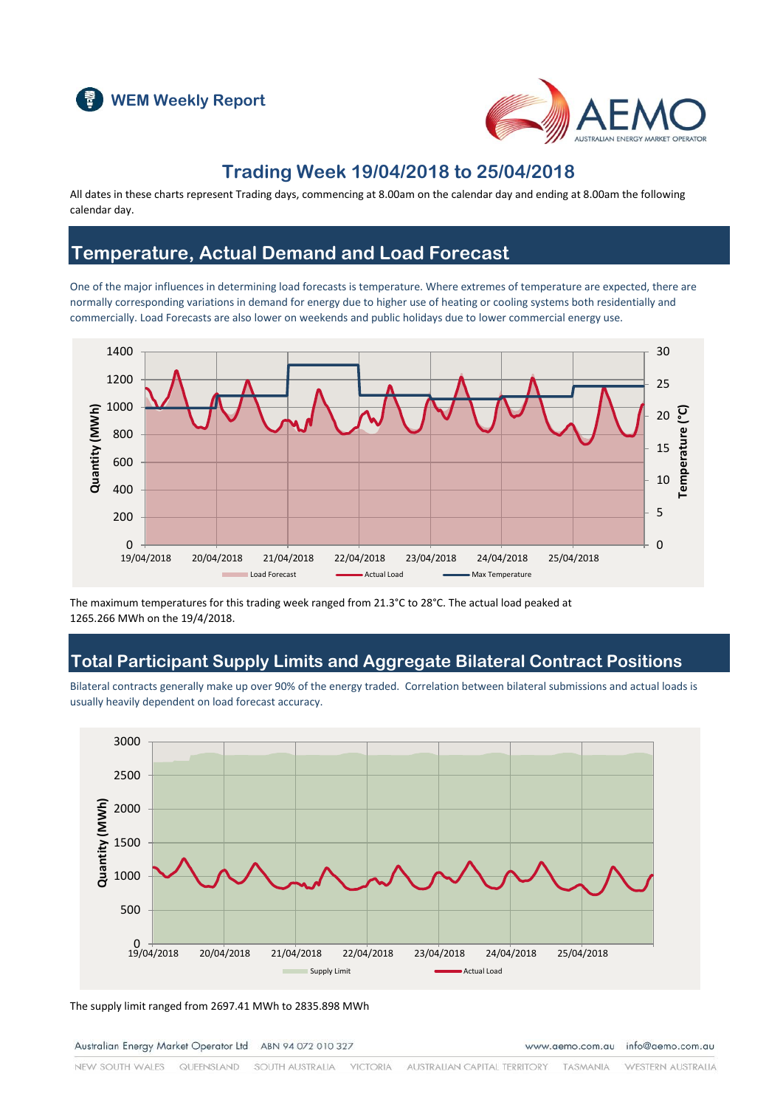



#### **Trading Week 19/04/2018 to 25/04/2018**

All dates in these charts represent Trading days, commencing at 8.00am on the calendar day and ending at 8.00am the following calendar day.

### **Temperature, Actual Demand and Load Forecast**

One of the major influences in determining load forecasts is temperature. Where extremes of temperature are expected, there are normally corresponding variations in demand for energy due to higher use of heating or cooling systems both residentially and commercially. Load Forecasts are also lower on weekends and public holidays due to lower commercial energy use.



The maximum temperatures for this trading week ranged from 21.3°C to 28°C. The actual load peaked at 1265.266 MWh on the 19/4/2018.

### **Total Participant Supply Limits and Aggregate Bilateral Contract Positions**

Bilateral contracts generally make up over 90% of the energy traded. Correlation between bilateral submissions and actual loads is usually heavily dependent on load forecast accuracy.



The supply limit ranged from 2697.41 MWh to 2835.898 MWh

Australian Energy Market Operator Ltd ABN 94 072 010 327

www.aemo.com.au info@aemo.com.au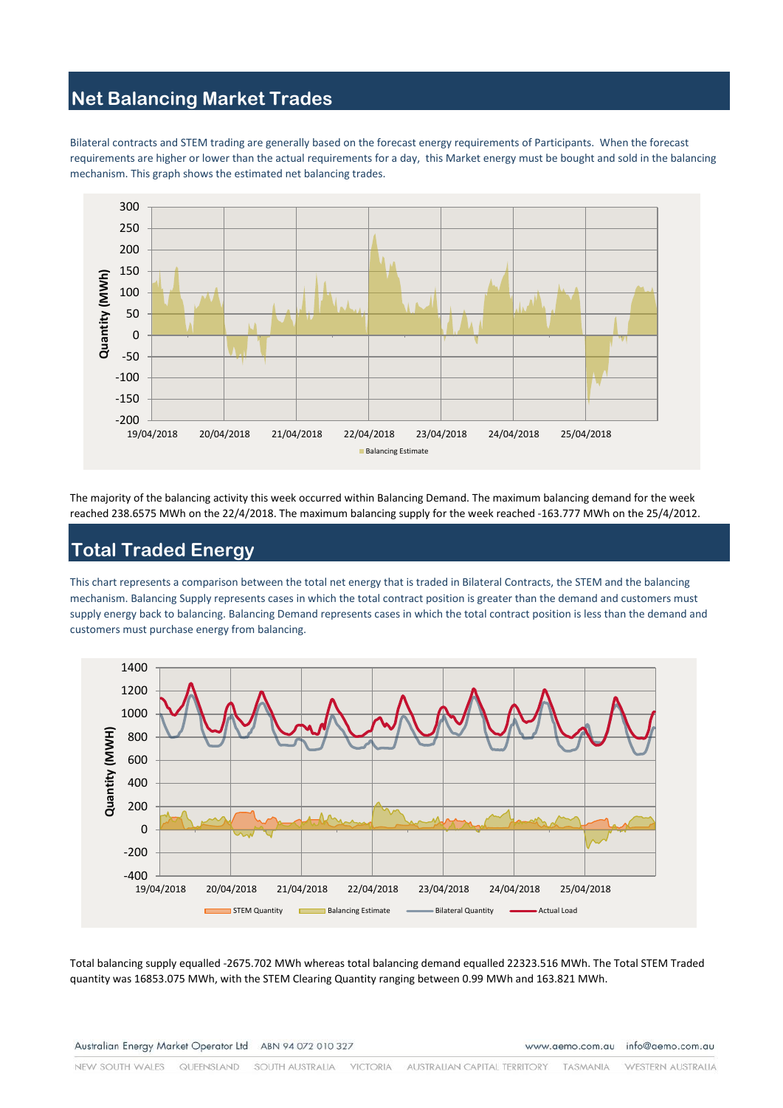# **Net Balancing Market Trades**

Bilateral contracts and STEM trading are generally based on the forecast energy requirements of Participants. When the forecast requirements are higher or lower than the actual requirements for a day, this Market energy must be bought and sold in the balancing mechanism. This graph shows the estimated net balancing trades.



The majority of the balancing activity this week occurred within Balancing Demand. The maximum balancing demand for the week reached 238.6575 MWh on the 22/4/2018. The maximum balancing supply for the week reached -163.777 MWh on the 25/4/2012.

# **Total Traded Energy**

This chart represents a comparison between the total net energy that is traded in Bilateral Contracts, the STEM and the balancing mechanism. Balancing Supply represents cases in which the total contract position is greater than the demand and customers must supply energy back to balancing. Balancing Demand represents cases in which the total contract position is less than the demand and customers must purchase energy from balancing.



Total balancing supply equalled -2675.702 MWh whereas total balancing demand equalled 22323.516 MWh. The Total STEM Traded quantity was 16853.075 MWh, with the STEM Clearing Quantity ranging between 0.99 MWh and 163.821 MWh.

Australian Energy Market Operator Ltd ABN 94 072 010 327

www.aemo.com.au info@aemo.com.au